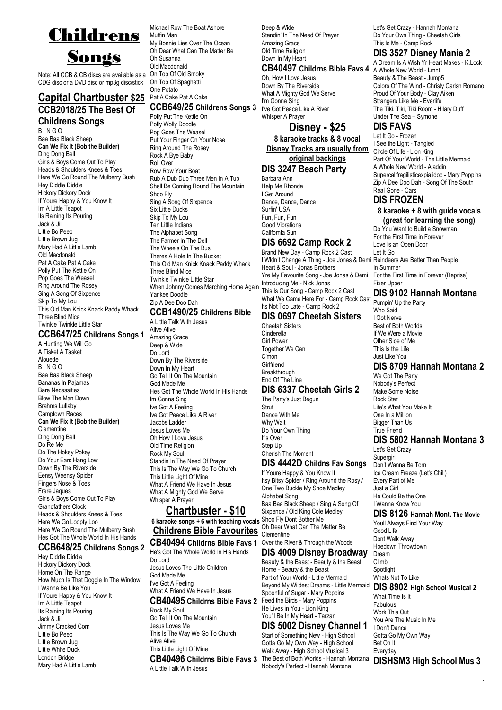

Note: All CCB & CB discs are available as a CDG disc or a DVD disc or mp3g disc/stick

### **Capital Chartbuster \$25 CCB2018/25 The Best Of Childrens Songs**

B I N G O Baa Baa Black Sheep **Can We Fix It (Bob the Builder)** Ding Dong Bell Girls & Boys Come Out To Play Heads & Shoulders Knees & Toes Here We Go Round The Mulberry Bush Hey Diddle Diddle Hickory Dickory Dock If Youre Happy & You Know It Im A Little Teapot Its Raining Its Pouring Jack & Jill Little Bo Peep Little Brown Jug Mary Had A Little Lamb Old Macdonald Pat A Cake Pat A Cake Polly Put The Kettle On Pop Goes The Weasel Ring Around The Rosey Sing A Song Of Sixpence Skip To My Lou This Old Man Knick Knack Paddy Whack Three Blind Mice Twinkle Twinkle Little Star

### **CCB647/25 Childrens Songs 1**

A Hunting We Will Go A Tisket A Tasket Alouette B I N G O Baa Baa Black Sheep Bananas In Pajamas Bare Necessities Blow The Man Down Brahms Lullaby Camptown Races **Can We Fix It (Bob the Builder)** Clementine Ding Dong Bell Do Re Me Do The Hokey Pokey Do Your Ears Hang Low Down By The Riverside Eensy Weensy Spider Fingers Nose & Toes Frere Jaques Girls & Boys Come Out To Play Grandfathers Clock Heads & Shoulders Knees & Toes Here We Go Loopty Loo Here We Go Round The Mulberry Bush Hes Got The Whole World In His Hands

### **CCB648/25 Childrens Songs 2**

Hey Diddle Diddle Hickory Dickory Dock Home On The Range How Much Is That Doggie In The Window I Wanna Be Like You If Youre Happy & You Know It Im A Little Teapot Its Raining Its Pouring Jack & Jill Jimmy Cracked Corn Little Bo Peep Little Brown Jug Little White Duck London Bridge Mary Had A Little Lamb

Michael Row The Boat Ashore Muffin Man My Bonnie Lies Over The Ocean Oh Dear What Can The Matter Be Oh Susanna Old Macdonald On Top Of Old Smoky On Top Of Spaghetti One Potato Pat A Cake Pat A Cake **CCB649/25 Childrens Songs 3** Polly Put The Kettle On Polly Wolly Doodle Pop Goes The Weasel Put Your Finger On Your Nose Ring Around The Rosey Rock A Bye Baby Roll Over Row Row Your Boat Rub A Dub Dub Three Men In A Tub Shell Be Coming Round The Mountain Shoo Fly Sing A Song Of Sixpence Six Little Ducks Skip To My Lou Ten Little Indians The Alphabet Song The Farmer In The Dell The Wheels On The Bus Theres A Hole In The Bucket This Old Man Knick Knack Paddy Whack Three Blind Mice Twinkle Twinkle Little Star When Johnny Comes Marching Home Again Yankee Doodle Zip A Dee Doo Dah

### **CCB1490/25 Childrens Bible**

A Little Talk With Jesus Alive Alive Amazing Grace Deep & Wide Do Lord Down By The Riverside Down In My Heart Go Tell It On The Mountain God Made Me Hes Got The Whole World In His Hands Im Gonna Sing Ive Got A Feeling Ive Got Peace Like A River Jacobs Ladder Jesus Loves Me Oh How I Love Jesus Old Time Religion Rock My Soul Standin In The Need Of Prayer This Is The Way We Go To Church This Little Light Of Mine What A Friend We Have In Jesus What A Mighty God We Serve Whisper A Prayer

### **Chartbuster - \$10**

**6 karaoke songs + 6 with teaching vocals** Shoo Fly Dont Bother Me **Childrens Bible Favourites** Clementine

He's Got The Whole World In His Hands Do Lord Jesus Loves The Little Children God Made Me I've Got A Feeling What A Friend We Have In Jesus **CB40495 Childrns Bible Favs 2** Rock My Soul

Go Tell It On The Mountain Jesus Loves Me This Is The Way We Go To Church Alive Alive This Little Light Of Mine **CB40496 Childrns Bible Favs 3** A Little Talk With Jesus

Deep & Wide Standin' In The Need Of Prayer Amazing Grace Old Time Religion Down In My Heart

### **CB40497 Childrns Bible Favs 4**

Oh, How I Love Jesus Down By The Riverside What A Mighty God We Serve I'm Gonna Sing I've Got Peace Like A River Whisper A Prayer

### **Disney - \$25**

**8 karaoke tracks & 8 vocal Disney Tracks are usually from original backings**

### **DIS 3247 Beach Party**

Barbara Ann Help Me Rhonda I Get Around Dance, Dance, Dance Surfin' USA Fun, Fun, Fun Good Vibrations California Sun

### **DIS 6692 Camp Rock 2**

Brand New Day - Camp Rock 2 Cast I Wldn't Change A Thing - Joe Jonas & Demi Reindeers Are Better Than People Heart & Soul - Jonas Brothers Yre My Favourite Song - Joe Jonas & Demi Introducing Me - Nick Jonas This Is Our Song - Camp Rock 2 Cast What We Came Here For - Camp Rock Cast Its Not Too Late - Camp Rock 2

### **DIS 0697 Cheetah Sisters**

Cheetah Sisters Cinderella Girl Power Together We Can C'mon **Girlfriend** Breakthrough End Of The Line

### **DIS 6337 Cheetah Girls 2**

The Party's Just Begun **Strut** Dance With Me Why Wait Do Your Own Thing It's Over Step Up Cherish The Moment

### **DIS 4442D Childns Fav Songs**

If Youre Happy & You Know It Itsy Bitsy Spider / Ring Around the Rosy / One Two Buckle My Shoe Medley Alphabet Song Baa Baa Black Sheep / Sing A Song Of Sixpence / Old King Cole Medley Oh Dear What Can The Matter Be

### **CB40494 Childrns Bible Favs 1** Over the River & Through the Woods **DIS 4009 Disney Broadway**

Beauty & the Beast - Beauty & the Beast Home - Beauty & the Beast Part of Your World - Little Mermaid Beyond My Wildest Dreams - Little Mermaid Spoonful of Sugar - Mary Poppins Feed the Birds - Mary Poppins He Lives in You - Lion King You'll Be In My Heart - Tarzan

### **DIS 5002 Disney Channel 1**

Start of Something New - High School Gotta Go My Own Way - High School Walk Away - High School Musical 3 Nobody's Perfect - Hannah Montana

Let's Get Crazy - Hannah Montana Do Your Own Thing - Cheetah Girls This Is Me - Camp Rock

### **DIS 3527 Disney Mania 2**

A Dream Is A Wish Yr Heart Makes - K.Lock A Whole New World - Lmnt Beauty & The Beast - Jump5 Colors Of The Wind - Christy Carlsn Romano Proud Of Your Body - Clay Aiken Strangers Like Me - Everlife The Tiki, Tiki, Tiki Room - Hilary Duff Under The Sea – Symone

### **DIS FAVS**

Let It Go - Frozen I See the Light - Tangled Circle Of Life - Lion King Part Of Your World - The Little Mermaid A Whole New World - Aladdin Supercalifragilisticexpialidoc - Mary Poppins Zip A Dee Doo Dah - Song Of The South Real Gone - Cars

### **DIS FROZEN**

### **8 karaoke + 8 with guide vocals (great for learning the song)**

Do You Want to Build a Snowman For the First Time in Forever Love Is an Open Door Let It Go In Summer For the First Time in Forever (Reprise) Fixer Upper **DIS 9102 Hannah Montana**

Pumpin' Up the Party Who Said I Got Nerve Best of Both Worlds If We Were a Movie Other Side of Me This Is the Life Just Like You

### **DIS 8709 Hannah Montana 2**

We Got The Party Nobody's Perfect Make Some Noise Rock Star Life's What You Make It One In a Million Bigger Than Us True Friend

### **DIS 5802 Hannah Montana 3**

Let's Get Crazy **Supergirl** Don't Wanna Be Torn Ice Cream Freeze (Let's Chill) Every Part of Me Just a Girl He Could Be the One I Wanna Know You

### **DIS 8126 Hannah Mont. The Movie**

Youll Always Find Your Way Good Life Dont Walk Away Hoedown Throwdown Dream Climb Spotlight Whats Not To Like

**DIS 8902 High School Musical 2**

What Time Is It Fabulous Work This Out You Are The Music In Me I Don't Dance Gotta Go My Own Way Bet On It Everyday

1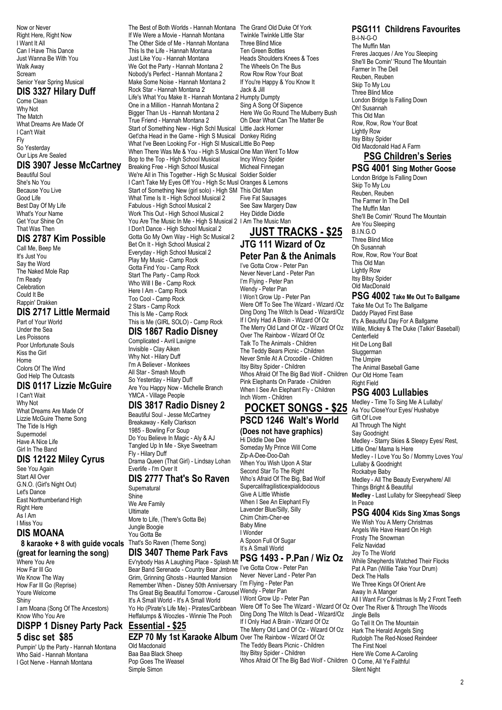Now or Never Right Here, Right Now I Want It All Can I Have This Dance Just Wanna Be With You Walk Away Scream Senior Year Spring Musical

### **DIS 3327 Hilary Duff**

Come Clean Why Not The Match What Dreams Are Made Of I Can't Wait Fly So Yesterday Our Lips Are Sealed

### **DIS 3907 Jesse McCartney**

Beautiful Soul She's No You Because You Live Good Life Best Day Of My Life What's Your Name Get Your Shine On That Was Then

### **DIS 2787 Kim Possible**

Call Me, Beep Me It's Just You Say the Word The Naked Mole Rap I'm Ready **Celebration** Could It Be Rappin' Drakken

#### **DIS 2717 Little Mermaid** Part of Your World

Under the Sea Les Poissons Poor Unfortunate Souls Kiss the Girl Home Colors Of The Wind God Help The Outcasts

### **DIS 0117 Lizzie McGuire**

I Can't Wait Why Not What Dreams Are Made Of Lizzie McGuire Theme Song The Tide Is High Supermodel Have A Nice Life Girl In The Band

### **DIS 12122 Miley Cyrus**

See You Again Start All Over G.N.O. (Girl's Night Out) Let's Dance East Northumberland High **Right Here** As I Am I Miss You

### **DIS MOANA**

### **8 karaoke + 8 with guide vocals (great for learning the song)**

Where You Are How Far Ill Go We Know The Way How Far Ill Go (Reprise) Youre Welcome Shiny I am Moana (Song Of The Ancestors) Know Who You Are

### **DISPP 1 Disney Party Pack Essential - \$25 5 disc set \$85**

Pumpin' Up the Party - Hannah Montana Who Said - Hannah Montana I Got Nerve - Hannah Montana

The Best of Both Worlds - Hannah Montana The Grand Old Duke Of York If We Were a Movie - Hannah Montana The Other Side of Me - Hannah Montana This Is the Life - Hannah Montana Just Like You - Hannah Montana We Got the Party - Hannah Montana 2 Nobody's Perfect - Hannah Montana 2 Make Some Noise - Hannah Montana 2 Rock Star - Hannah Montana 2 Life's What You Make It - Hannah Montana 2 Humpty Dumpty One in a Million - Hannah Montana 2 Bigger Than Us - Hannah Montana 2 True Friend - Hannah Montana 2 Start of Something New - High Schl Musical Get'cha Head in the Game - High S Musical Donkey Riding What I've Been Looking For - High Sl Musical Little Bo Peep When There Was Me & You - High S Musical One Man Went To Mow Bop to the Top - High School Musical Breaking Free - High School Musical We're All in This Together - High Sc Musical Soldier Soldier I Can't Take My Eyes Off You - High Sc Musl Oranges & Lemons Start of Something New (girl solo) - High SM This Old Man What Time Is It - High School Musical 2 Fabulous - High School Musical 2 Work This Out - High School Musical 2 You Are The Music In Me - High S Musical 2 I Am The Music Man I Don't Dance - High School Musical 2 Gotta Go My Own Way - High Sc Musical 2 Bet On It - High School Musical 2 Everyday - High School Musical 2 Play My Music - Camp Rock Gotta Find You - Camp Rock Start The Party - Camp Rock Who Will I Be - Camp Rock Here I Am - Camp Rock Too Cool - Camp Rock 2 Stars - Camp Rock

This Is Me - Camp Rock This is Me (GIRL SOLO) - Camp Rock **DIS 1867 Radio Disney**

Complicated - Avril Lavigne Invisible - Clay Aiken Why Not - Hilary Duff I'm A Believer - Monkees All Star - Smash Mouth So Yesterday - Hilary Duff Are You Happy Now - Michelle Branch YMCA - Village People

### **DIS 3817 Radio Disney 2**

Beautiful Soul - Jesse McCartney Breakaway - Kelly Clarkson 1985 - Bowling For Soup Do You Believe In Magic - Aly & AJ Tangled Up In Me - Skye Sweetnam Fly - Hilary Duff Drama Queen (That Girl) - Lindsay Lohan

### Everlife - I'm Over It **DIS 2777 That's So Raven**

**Supernatural** Shine We Are Family Ultimate More to Life, (There's Gotta Be) Jungle Boogie You Gotta Be That's So Raven (Theme Song) **DIS 3407 Theme Park Favs**

Ev'rybody Has A Laughing Place - Splash Mt **PSG 1493 - P.Pan / Wiz Oz** Bear Band Serenade - Country Bear Jmbree I've Gotta Crow - Peter Pan Grim, Grinning Ghosts - Haunted Mansion Remember When - Disney 50th Anniversary Ths Great Big Beautiful Tomorrow - Carousel It's A Small World - It's A Small World Yo Ho (Pirate's Life Me) - Pirates/Caribbean Heffalumps & Woozles - Winnie The Pooh

Old Macdonald Baa Baa Black Sheep Pop Goes The Weasel Simple Simon

Twinkle Twinkle Little Star Three Blind Mice Ten Green Bottles Heads Shoulders Knees & Toes The Wheels On The Bus Row Row Row Your Boat If You're Happy & You Know It Jack & Jill Sing A Song Of Sixpence Here We Go Round The Mulberry Bush Oh Dear What Can The Matter Be Little Jack Horner Incy Wincy Spider Micheal Finnegan Five Fat Sausages See Saw Margery Daw Hey Diddle Diddle

### **JUST TRACKS - \$25 JTG 111 Wizard of Oz**

## **Peter Pan & the Animals**

I've Gotta Crow - Peter Pan Never Never Land - Peter Pan I'm Flying - Peter Pan Wendy - Peter Pan I Won't Grow Up - Peter Pan Were Off To See The Wizard - Wizard /Oz Ding Dong The Witch Is Dead - Wizard/Oz If I Only Had A Brain - Wizard Of Oz The Merry Old Land Of Oz - Wizard Of Oz Over The Rainbow - Wizard Of Oz Talk To The Animals - Children The Teddy Bears Picnic - Children Never Smile At A Crocodile - Children Itsy Bitsy Spider - Children Whos Afraid Of The Big Bad Wolf - Children Pink Elephants On Parade - Children When I See An Elephant Fly - Children Inch Worm - Children

## **POCKET SONGS - \$25**

## **(Does not have graphics)**

Someday My Prince Will Come Zip-A-Dee-Doo-Dah When You Wish Upon A Star Second Star To The Right Who's Afraid Of The Big, Bad Wolf Supercalifragilisticexpialidocious Give A Little Whistle When I See An Elephant Fly Lavender Blue/Silly, Silly Chim Chim-Cher-ee Baby Mine I Wonder A Spoon Full Of Sugar It's A Small World

**EZP 70 My 1st Karaoke Album** Over The Rainbow - Wizard Of Oz Never Never Land - Peter Pan I'm Flying - Peter Pan Wendy - Peter Pan I Wont Grow Up - Peter Pan Were Off To See The Wizard - Wizard Of Oz Over The River & Through The Woods Ding Dong The Witch Is Dead - Wizard/Oz If I Only Had A Brain - Wizard Of Oz The Merry Old Land Of Oz - Wizard Of Oz The Teddy Bears Picnic - Children Itsy Bitsy Spider - Children Whos Afraid Of The Big Bad Wolf - Children

### **PSG111 Childrens Favourites**

B-I-N-G-O The Muffin Man Freres Jacques / Are You Sleeping She'll Be Comin' 'Round The Mountain Farmer In The Dell Reuben, Reuben Skip To My Lou Three Blind Mice London Bridge Is Falling Down Oh! Susannah This Old Man Row, Row, Row Your Boat Lightly Row Itsy Bitsy Spider Old Macdonald Had A Farm

### **PSG Children's Series PSG 4001 Sing Mother Goose**

London Bridge Is Falling Down Skip To My Lou Reuben, Reuben The Farmer In The Dell The Muffin Man She'll Be Comin' 'Round The Mountain Are You Sleeping B.I.N.G.O Three Blind Mice Oh Susannah Row, Row, Row Your Boat This Old Man Lightly Row Itsy Bitsy Spider Old MacDonald

### **PSG 4002 Take Me Out To Ballgame**

Take Me Out To The Ballgame Daddy Played First Base It's A Beautiful Day For A Ballgame Willie, Mickey & The Duke (Talkin' Baseball) **Centerfield** Hit De Long Ball Sluggerman The Umpire The Animal Baseball Game Our Old Home Team Right Field

### **PSG 4003 Lullabies**

Medley - Time To Sing Me A Lullaby/ As You CloseYour Eyes/ Hushabye Gift Of Love All Through The Night Say Goodnight Medley - Starry Skies & Sleepy Eyes/ Rest, Little One/ Mama Is Here Medley - I Love You So / Mommy Loves You/ Lullaby & Goodnight Rockabye Baby Medley - All The Beauty Everywhere/ All Things Bright & Beautiful **Medley** - Last Lullaby for Sleepyhead/ Sleep In Peace

### **PSG 4004 Kids Sing Xmas Songs**

We Wish You A Merry Christmas Angels We Have Heard On High Frosty The Snowman Feliz Navidad Joy To The World While Shepherds Watched Their Flocks Pat A Pan (Willie Take Your Drum) Deck The Halls We Three Kings Of Orient Are Away In A Manger All I Want For Christmas Is My 2 Front Teeth Jingle Bells Go Tell It On The Mountain Hark The Herald Angels Sing Rudolph The Red-Nosed Reindeer The First Noel Here We Come A-Caroling O Come, All Ye Faithful Silent Night

# **PSCD 1246 Walt's World** Hi Diddle Dee Dee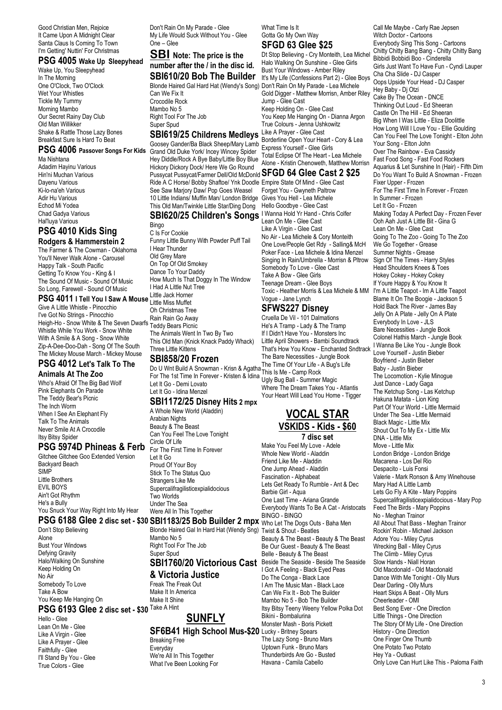Good Christian Men, Rejoice It Came Upon A Midnight Clear Santa Claus Is Coming To Town I'm Getting' Nuttin' For Christmas

### **PSG 4005 Wake Up Sleepyhead**

Wake Up, You Sleepyhead In The Morning One O'Clock, Two O'Clock Wet Your Whistles Tickle My Tummy Morning Mambo Our Secret Rainy Day Club Old Man Willikker Shake & Rattle Those Lazy Bones Breakfast Sure Is Hard To Beat

Ma Nishtana Adadim Hayinu Various Hin'ni Muchan Various Dayenu Various Ki-lo-na'eh Various Adir Hu Various Echod Mi Yodea Chad Gadya Various Hal'luya Various

## **PSG 4010 Kids Sing**

**Rodgers & Hammerstein 2** The Farmer & The Cowman - Oklahoma You'll Never Walk Alone - Carousel Happy Talk - South Pacific Getting To Know You - King & I The Sound Of Music - Sound Of Music So Long, Farewell - Sound Of Music

### **PSG 4011 I Tell You I Saw A Mouse**

Give A Little Whistle - Pinocchio I've Got No Strings - Pinocchio The Got No Surigs - Prifoccritory Rain Rain Go Away<br>Heigh-Ho - Snow White & The Seven Dwarfs Teddy Bears Picnic Whistle While You Work - Snow White With A Smile & A Song - Snow White Zip-A-Dee-Doo-Dah - Song Of The South The Mickey Mouse March - Mickey Mouse

### **PSG 4012 Let's Talk To The**

**Animals At The Zoo** Who's Afraid Of The Big Bad Wolf Pink Elephants On Parade The Teddy Bear's Picnic The Inch Worm When I See An Elephant Fly Talk To The Animals Never Smile At A Crocodile Itsy Bitsy Spider

### **PSG 5974D Phineas & Ferb**

Gitchee Gitchee Goo Extended Version Backyard Beach SIMP Little Brothers EVIL BOYS Ain't Got Rhythm He's a Bully You Snuck Your Way Right Into My Hear

Don't Stop Believing Alone Bust Your Windows Defying Gravity Halo/Walking On Sunshine Keep Holding On No Air Somebody To Love Take A Bow You Keep Me Hanging On **PSG 6193 Glee 2 disc set - \$30** Take A Hint

Hello - Glee Lean On Me - Glee Like A Virgin - Glee Like A Prayer - Glee Faithfully - Glee I'll Stand By You - Glee True Colors - Glee

Don't Rain On My Parade - Glee My Life Would Suck Without You - Glee One – Glee

### **SBI Note: The price is the number after the / in the disc id. SBI610/20 Bob The Builder**

Blonde Haired Gal Hard Hat (Wendy's Song) Don't Rain On My Parade - Lea Michele Can We Fix It Crocodile Rock Mambo No 5 Right Tool For The Job Super Spud

### **SBI619/25 Childrens Medleys**

**PSG 4006 Passover Songs For Kids** Grand Old Duke York/ Incey Wincey Spider Goosey Gander/Ba Black Sheep/Mary Lamb Hey Diddle/Rock A Bye Baby/Little Boy Blue Hickory Dickory Dock/ Here We Go Round Pussycat Pussycat/Farmer Dell/Old McDonld **SFGD 64 Glee Cast 2 \$25** Ride A C Horse/ Bobby Shaftoe/ Ynk Doodle Empire State Of Mind - Glee Cast See Saw Marjory Daw/ Pop Goes Weasel 10 Little Indians/ Muffin Man/ London Bridge Gives You Hell - Lea Michele This Old Man/Twinkle Little Star/Ding Dong Hello Goodbye - Glee Cast

### **SBI620/25 Children's Songs** | Wanna Hold Yr Hand - Chris Colfer

Bingo C Is For Cookie Funny Little Bunny With Powder Puff Tail I Hear Thunder Old Grey Mare On Top Of Old Smokey Dance To Your Daddy How Much Is That Doggy In The Window I Had A Little Nut Tree Little Jack Horner Little Miss Muffet Oh Christmas Tree<br>Rain Rain Go Away Teddy Bears Picnic The Animals Went In Two By Two This Old Man (Knick Knack Paddy Whack)

### Three Little Kittens **SBI858/20 Frozen**

Do U Wnt Build A Snowman - Krisn & Agatha This Is Me - Camp Rock For The 1st Time In Forever - Kristen & Idina Ugly Bug Ball - Summer Magic Let It Go - Demi Lovato Let It Go - Idina Menzel

### **SBI1172/25 Disney Hits 2 mpx**

A Whole New World (Aladdin) Arabian Nights Beauty & The Beast Can You Feel The Love Tonight Circle Of Life For The First Time In Forever Let It Go Proud Of Your Boy Stick To The Status Quo Strangers Like Me Supercalifragilisticexpialidocious Two Worlds Under The Sea Were All In This Together

### **PSG 6188 Glee 2 disc set - \$30 SBI1183/25 Bob Builder 2 mpx** Who Let The Dogs Outs - Baha Men

Blonde Haired Gal In Hard Hat (Wendy Sng) Mambo No 5 Right Tool For The Job Super Spud

### **& Victoria Justice**

#### Freak The Freak Out Make It In America Make It Shine

What I've Been Looking For

### **SUNFLY**

**SF6B41 High School Mus-\$20** Lucky - Britney Spears Breaking Free **Everyday** We're All In This Together

What Time Is It Gotta Go My Own Way

### **SFGD 63 Glee \$25**

Dt Stop Believing - Cry Monteith, Lea Michel Halo Walking On Sunshine - Glee Girls Bust Your Windows - Amber Riley It's My Life (Confessions Part 2) - Glee Boys Gold Digger - Matthew Morrisn, Amber Riley Jump - Glee Cast Keep Holding On - Glee Cast You Keep Me Hanging On - Dianna Argon True Colours - Jenna Ushkowitz Like A Prayer - Glee Cast Borderline Open Your Heart - Cory & Lea Express Yourself - Glee Girls Total Eclipse Of The Heart - Lea Michele Alone - Kristin Chenoweth, Matthew Morrisn

Forget You - Gwyneth Paltrow Lean On Me - Glee Cast Like A Virgin - Glee Cast No Air - Lea Michele & Cory Monteith One Love/People Get Rdy - Salling& McH Poker Face - Lea Michele & Idina Menzel Singing In Rain/Umbrella - Morrisn & Pltrow Somebody To Love - Glee Cast Take A Bow - Glee Girls Teenage Dream - Glee Boys Toxic - Heather Morris & Lea Michele & MM Vogue - Jane Lynch

### **SFWS227 Disney**

Cruella De Vil - 101 Dalmations He's A Tramp - Lady & The Tramp If I Didn't Have You - Monsters Inc Little April Showers - Bambi Soundtrack That's How You Know - Enchanted Sndtrack The Bare Necessities - Jungle Book The Time Of Your Life - A Bug's Life

Where The Dream Takes You - Atlantis Your Heart Will Lead You Home - Tigger

### **VOCAL STAR VSKIDS - Kids - \$60**

**7 disc set** Make You Feel My Love - Adele Whole New World - Aladdin Friend Like Me - Aladdin One Jump Ahead - Aladdin Fascination - Alphabeat Lets Get Ready To Rumble - Ant & Dec Barbie Girl - Aqua One Last Time - Ariana Grande Everybody Wants To Be A Cat - Aristocats BINGO - BINGO

**SBI1760/20 Victorious Cast** Beside The Seaside - Beside The Seaside Twist & Shout - Beatles Beauty & The Beast - Beauty & The Beast Be Our Guest - Beauty & The Beast Belle - Beauty & The Beast I Got A Feeling - Black Eyed Peas Do The Conga - Black Lace I Am The Music Man - Black Lace Can We Fix It - Bob The Builder Mambo No 5 - Bob The Builder Itsy Bitsy Teeny Weeny Yellow Polka Dot Bikini - Bombalurina Monster Mash - Boris Pickett The Lazy Song - Bruno Mars Uptown Funk - Bruno Mars Thunderbirds Are Go - Busted Havana - Camila Cabello

Call Me Maybe - Carly Rae Jepsen Witch Doctor - Cartoons Everybody Sing This Song - Cartoons Chitty Chitty Bang Bang - Chitty Chitty Bang Bibbidi Bobbidi Boo - Cinderella Girls Just Want To Have Fun - Cyndi Lauper Cha Cha Slide - DJ Casper Oops Upside Your Head - DJ Casper Hey Baby - Dj Otzi Cake By The Ocean - DNCE Thinking Out Loud - Ed Sheeran Castle On The Hill - Ed Sheeran Big When I Was Little - Eliza Doolittle How Long Will I Love You - Ellie Goulding Can You Feel The Love Tonight - Elton John Your Song - Elton John Over The Rainbow - Eva Cassidy Fast Food Song - Fast Food Rockers Aquarius & Let Sunshine In (Hair) - Fifth Dim Do You Want To Build A Snowman - Frozen Fixer Upper - Frozen For The First Time In Forever - Frozen In Summer - Frozen Let It Go - Frozen Making Today A Perfect Day - Frozen Fever Ooh Aah Just A Little Bit - Gina G Lean On Me - Glee Cast Going To The Zoo - Going To The Zoo We Go Together - Grease Summer Nights - Grease Sign Of The Times - Harry Styles Head Shoulders Knees & Toes Hokey Cokey - Hokey Cokey If Youre Happy & You Know It I'm A Little Teapot - Im A Little Teapot Blame It On The Boogie - Jackson 5 Hold Back The River - James Bay Jelly On A Plate - Jelly On A Plate Everybody In Love - JLS Bare Necessities - Jungle Book Colonel Hathis March - Jungle Book I Wanna Be Like You - Jungle Book Love Yourself - Justin Bieber Boyfriend - Justin Bieber Baby - Justin Bieber The Locomotion - Kylie Minogue Just Dance - Lady Gaga The Ketchup Song - Las Ketchup Hakuna Matata - Lion King Part Of Your World - Little Mermaid Under The Sea - Little Mermaid Black Magic - Little Mix Shout Out To My Ex - Little Mix DNA - Little Mix Move - Little Mix London Bridge - London Bridge Macarena - Los Del Rio Despacito - Luis Fonsi Valerie - Mark Ronson & Amy Winehouse Mary Had A Little Lamb Lets Go Fly A Kite - Mary Poppins Supercalifragilisticexpialidocious - Mary Pop Feed The Birds - Mary Poppins No - Meghan Trainor All About That Bass - Meghan Trainor Rockin' Robin - Michael Jackson Adore You - Miley Cyrus Wrecking Ball - Miley Cyrus The Climb - Miley Cyrus Slow Hands - Niall Horan Old Macdonald - Old Macdonald Dance With Me Tonight - Olly Murs Dear Darling - Olly Murs Heart Skips A Beat - Olly Murs Cheerleader - OMI Best Song Ever - One Direction Little Things - One Direction The Story Of My Life - One Direction History - One Direction One Finger One Thumb One Potato Two Potato Hey Ya - Outkast

Only Love Can Hurt Like This - Paloma Faith